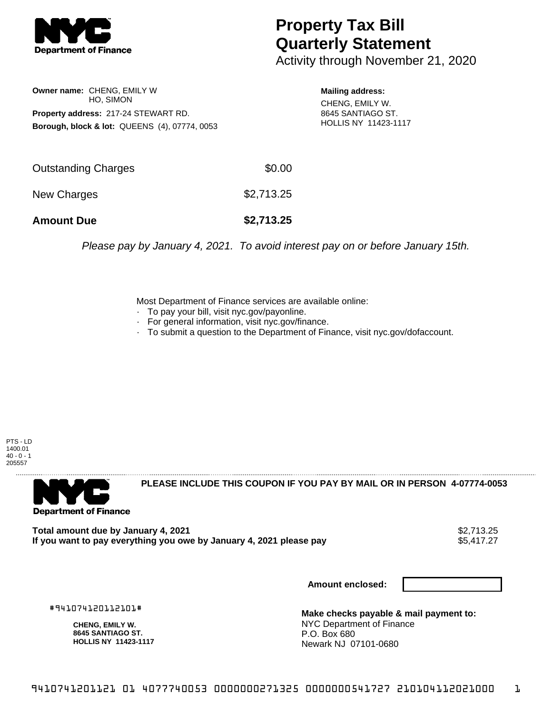

## **Property Tax Bill Quarterly Statement**

Activity through November 21, 2020

**Owner name:** CHENG, EMILY W HO, SIMON **Property address:** 217-24 STEWART RD. **Borough, block & lot:** QUEENS (4), 07774, 0053

**Mailing address:**

CHENG, EMILY W. 8645 SANTIAGO ST. HOLLIS NY 11423-1117

| <b>Amount Due</b>   | \$2,713.25 |
|---------------------|------------|
| New Charges         | \$2,713.25 |
| Outstanding Charges | \$0.00     |

Please pay by January 4, 2021. To avoid interest pay on or before January 15th.

Most Department of Finance services are available online:

- · To pay your bill, visit nyc.gov/payonline.
- For general information, visit nyc.gov/finance.
- · To submit a question to the Department of Finance, visit nyc.gov/dofaccount.





**PLEASE INCLUDE THIS COUPON IF YOU PAY BY MAIL OR IN PERSON 4-07774-0053** 

Total amount due by January 4, 2021<br>If you want to pay everything you owe by January 4, 2021 please pay **ship want to pay everything** you owe by January 4, 2021 please pay If you want to pay everything you owe by January 4, 2021 please pay

**Amount enclosed:**

#941074120112101#

**CHENG, EMILY W. 8645 SANTIAGO ST. HOLLIS NY 11423-1117**

**Make checks payable & mail payment to:** NYC Department of Finance P.O. Box 680 Newark NJ 07101-0680